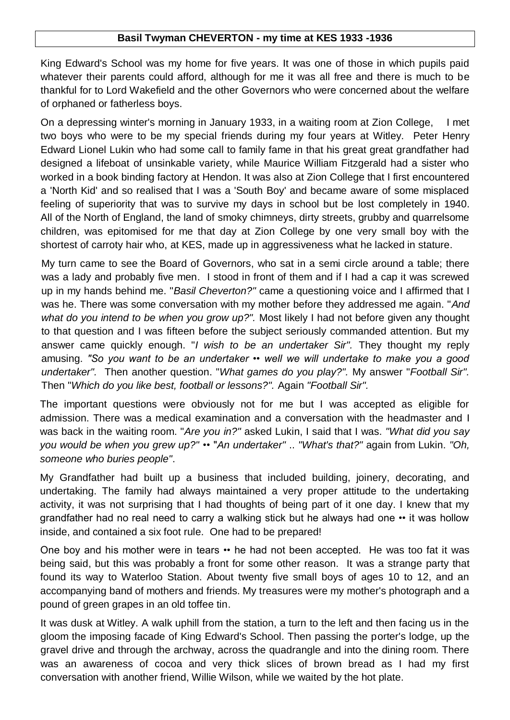## **Basil Twyman CHEVERTON - my time at KES 1933 -1936**

King Edward's School was my home for five years. It was one of those in which pupils paid whatever their parents could afford, although for me it was all free and there is much to be thankful for to Lord Wakefield and the other Governors who were concerned about the welfare of orphaned or fatherless boys.

On a depressing winter's morning in January 1933, in a waiting room at Zion College, I met two boys who were to be my special friends during my four years at Witley. Peter Henry Edward Lionel Lukin who had some call to family fame in that his great great grandfather had designed a lifeboat of unsinkable variety, while Maurice William Fitzgerald had a sister who worked in a book binding factory at Hendon. It was also at Zion College that I first encountered a 'North Kid' and so realised that I was a 'South Boy' and became aware of some misplaced feeling of superiority that was to survive my days in school but be lost completely in 1940. All of the North of England, the land of smoky chimneys, dirty streets, grubby and quarrelsome children, was epitomised for me that day at Zion College by one very small boy with the shortest of carroty hair who, at KES, made up in aggressiveness what he lacked in stature.

My turn came to see the Board of Governors, who sat in a semi circle around a table; there was a lady and probably five men. I stood in front of them and if I had a cap it was screwed up in my hands behind me. "*Basil Cheverton?"* came a questioning voice and I affirmed that I was he. There was some conversation with my mother before they addressed me again. "*And what do you intend to be when you grow up?".* Most likely I had not before given any thought to that question and I was fifteen before the subject seriously commanded attention. But my answer came quickly enough. "*I wish to be an undertaker Sir".* They thought my reply amusing. *"So you want to be an undertaker •• well we will undertake to make you a good undertaker".* Then another question. "*What games do you play?".* My answer "*Football Sir".* Then "*Which do you like best, football or lessons?".* Again *"Football Sir".*

The important questions were obviously not for me but I was accepted as eligible for admission. There was a medical examination and a conversation with the headmaster and I was back in the waiting room. "*Are you in?"* asked Lukin, I said that I was. *"What did you say you would be when you grew up?"* •• "*An undertaker"* .. *"What's that?"* again from Lukin. *"Oh, someone who buries people"*.

My Grandfather had built up a business that included building, joinery, decorating, and undertaking. The family had always maintained a very proper attitude to the undertaking activity, it was not surprising that I had thoughts of being part of it one day. I knew that my grandfather had no real need to carry a walking stick but he always had one •• it was hollow inside, and contained a six foot rule. One had to be prepared!

One boy and his mother were in tears •• he had not been accepted. He was too fat it was being said, but this was probably a front for some other reason. It was a strange party that found its way to Waterloo Station. About twenty five small boys of ages 10 to 12, and an accompanying band of mothers and friends. My treasures were my mother's photograph and a pound of green grapes in an old toffee tin.

It was dusk at Witley. A walk uphill from the station, a turn to the left and then facing us in the gloom the imposing facade of King Edward's School. Then passing the porter's lodge, up the gravel drive and through the archway, across the quadrangle and into the dining room. There was an awareness of cocoa and very thick slices of brown bread as I had my first conversation with another friend, Willie Wilson, while we waited by the hot plate.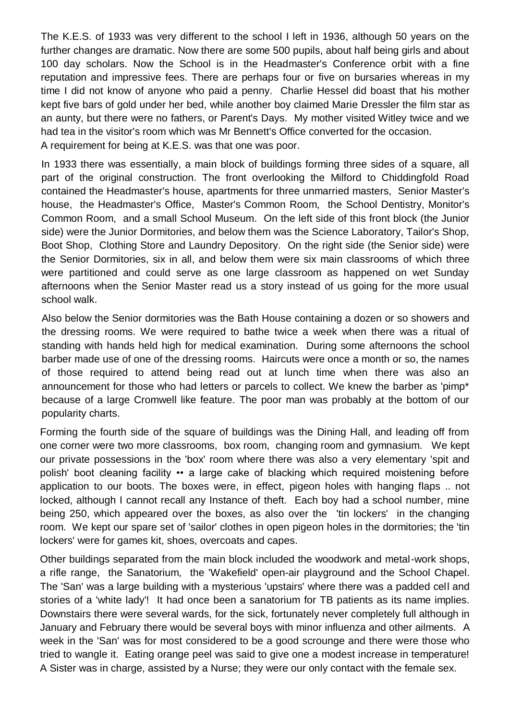The K.E.S. of 1933 was very different to the school I left in 1936, although 50 years on the further changes are dramatic. Now there are some 500 pupils, about half being girls and about 100 day scholars. Now the School is in the Headmaster's Conference orbit with a fine reputation and impressive fees. There are perhaps four or five on bursaries whereas in my time I did not know of anyone who paid a penny. Charlie Hessel did boast that his mother kept five bars of gold under her bed, while another boy claimed Marie Dressler the film star as an aunty, but there were no fathers, or Parent's Days. My mother visited Witley twice and we had tea in the visitor's room which was Mr Bennett's Office converted for the occasion. A requirement for being at K.E.S. was that one was poor.

In 1933 there was essentially, a main block of buildings forming three sides of a square, all part of the original construction. The front overlooking the Milford to Chiddingfold Road contained the Headmaster's house, apartments for three unmarried masters, Senior Master's house, the Headmaster's Office, Master's Common Room, the School Dentistry, Monitor's Common Room, and a small School Museum. On the left side of this front block (the Junior side) were the Junior Dormitories, and below them was the Science Laboratory, Tailor's Shop, Boot Shop, Clothing Store and Laundry Depository. On the right side (the Senior side) were the Senior Dormitories, six in all, and below them were six main classrooms of which three were partitioned and could serve as one large classroom as happened on wet Sunday afternoons when the Senior Master read us a story instead of us going for the more usual school walk.

Also below the Senior dormitories was the Bath House containing a dozen or so showers and the dressing rooms. We were required to bathe twice a week when there was a ritual of standing with hands held high for medical examination. During some afternoons the school barber made use of one of the dressing rooms. Haircuts were once a month or so, the names of those required to attend being read out at lunch time when there was also an announcement for those who had letters or parcels to collect. We knew the barber as 'pimp\* because of a large Cromwell like feature. The poor man was probably at the bottom of our popularity charts.

Forming the fourth side of the square of buildings was the Dining Hall, and leading off from one corner were two more classrooms, box room, changing room and gymnasium. We kept our private possessions in the 'box' room where there was also a very elementary 'spit and polish' boot cleaning facility •• a large cake of blacking which required moistening before application to our boots. The boxes were, in effect, pigeon holes with hanging flaps .. not locked, although I cannot recall any Instance of theft. Each boy had a school number, mine being 250, which appeared over the boxes, as also over the 'tin lockers' in the changing room. We kept our spare set of 'sailor' clothes in open pigeon holes in the dormitories; the 'tin lockers' were for games kit, shoes, overcoats and capes.

Other buildings separated from the main block included the woodwork and metal-work shops, a rifle range, the Sanatorium, the 'Wakefield' open-air playground and the School Chapel. The 'San' was a large building with a mysterious 'upstairs' where there was a padded cell and stories of a 'white lady'! It had once been a sanatorium for TB patients as its name implies. Downstairs there were several wards, for the sick, fortunately never completely full although in January and February there would be several boys with minor influenza and other ailments. A week in the 'San' was for most considered to be a good scrounge and there were those who tried to wangle it. Eating orange peel was said to give one a modest increase in temperature! A Sister was in charge, assisted by a Nurse; they were our only contact with the female sex.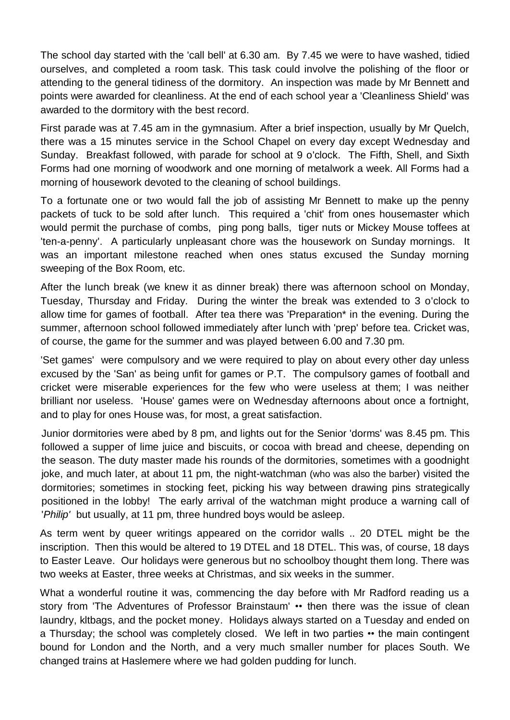The school day started with the 'call bell' at 6.30 am. By 7.45 we were to have washed, tidied ourselves, and completed a room task. This task could involve the polishing of the floor or attending to the general tidiness of the dormitory. An inspection was made by Mr Bennett and points were awarded for cleanliness. At the end of each school year a 'Cleanliness Shield' was awarded to the dormitory with the best record.

First parade was at 7.45 am in the gymnasium. After a brief inspection, usually by Mr Quelch, there was a 15 minutes service in the School Chapel on every day except Wednesday and Sunday. Breakfast followed, with parade for school at 9 o'clock. The Fifth, Shell, and Sixth Forms had one morning of woodwork and one morning of metalwork a week. All Forms had a morning of housework devoted to the cleaning of school buildings.

To a fortunate one or two would fall the job of assisting Mr Bennett to make up the penny packets of tuck to be sold after lunch. This required a 'chit' from ones housemaster which would permit the purchase of combs, ping pong balls, tiger nuts or Mickey Mouse toffees at 'ten-a-penny'. A particularly unpleasant chore was the housework on Sunday mornings. It was an important milestone reached when ones status excused the Sunday morning sweeping of the Box Room, etc.

After the lunch break (we knew it as dinner break) there was afternoon school on Monday, Tuesday, Thursday and Friday. During the winter the break was extended to 3 o'clock to allow time for games of football. After tea there was 'Preparation\* in the evening. During the summer, afternoon school followed immediately after lunch with 'prep' before tea. Cricket was, of course, the game for the summer and was played between 6.00 and 7.30 pm.

'Set games' were compulsory and we were required to play on about every other day unless excused by the 'San' as being unfit for games or P.T. The compulsory games of football and cricket were miserable experiences for the few who were useless at them; I was neither brilliant nor useless. 'House' games were on Wednesday afternoons about once a fortnight, and to play for ones House was, for most, a great satisfaction.

Junior dormitories were abed by 8 pm, and lights out for the Senior 'dorms' was 8.45 pm. This followed a supper of lime juice and biscuits, or cocoa with bread and cheese, depending on the season. The duty master made his rounds of the dormitories, sometimes with a goodnight joke, and much later, at about 11 pm, the night-watchman (who was also the barber) visited the dormitories; sometimes in stocking feet, picking his way between drawing pins strategically positioned in the lobby! The early arrival of the watchman might produce a warning call of '*Philip'* but usually, at 11 pm, three hundred boys would be asleep.

As term went by queer writings appeared on the corridor walls .. 20 DTEL might be the inscription. Then this would be altered to 19 DTEL and 18 DTEL. This was, of course, 18 days to Easter Leave. Our holidays were generous but no schoolboy thought them long. There was two weeks at Easter, three weeks at Christmas, and six weeks in the summer.

What a wonderful routine it was, commencing the day before with Mr Radford reading us a story from 'The Adventures of Professor Brainstaum' •• then there was the issue of clean laundry, kltbags, and the pocket money. Holidays always started on a Tuesday and ended on a Thursday; the school was completely closed. We left in two parties •• the main contingent bound for London and the North, and a very much smaller number for places South. We changed trains at Haslemere where we had golden pudding for lunch.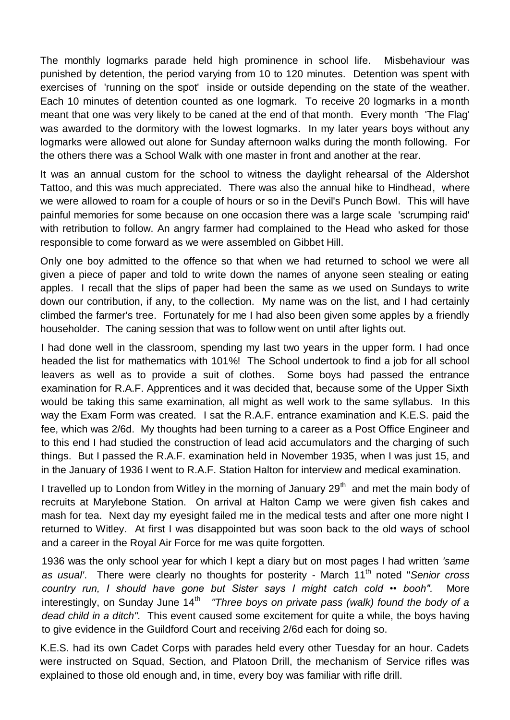The monthly logmarks parade held high prominence in school life. Misbehaviour was punished by detention, the period varying from 10 to 120 minutes. Detention was spent with exercises of 'running on the spot' inside or outside depending on the state of the weather. Each 10 minutes of detention counted as one logmark. To receive 20 logmarks in a month meant that one was very likely to be caned at the end of that month. Every month 'The Flag' was awarded to the dormitory with the lowest logmarks. In my later years boys without any logmarks were allowed out alone for Sunday afternoon walks during the month following. For the others there was a School Walk with one master in front and another at the rear.

It was an annual custom for the school to witness the daylight rehearsal of the Aldershot Tattoo, and this was much appreciated. There was also the annual hike to Hindhead, where we were allowed to roam for a couple of hours or so in the Devil's Punch Bowl. This will have painful memories for some because on one occasion there was a large scale 'scrumping raid' with retribution to follow. An angry farmer had complained to the Head who asked for those responsible to come forward as we were assembled on Gibbet Hill.

Only one boy admitted to the offence so that when we had returned to school we were all given a piece of paper and told to write down the names of anyone seen stealing or eating apples. I recall that the slips of paper had been the same as we used on Sundays to write down our contribution, if any, to the collection. My name was on the list, and I had certainly climbed the farmer's tree. Fortunately for me I had also been given some apples by a friendly householder. The caning session that was to follow went on until after lights out.

I had done well in the classroom, spending my last two years in the upper form. I had once headed the list for mathematics with 101%! The School undertook to find a job for all school leavers as well as to provide a suit of clothes. Some boys had passed the entrance examination for R.A.F. Apprentices and it was decided that, because some of the Upper Sixth would be taking this same examination, all might as well work to the same syllabus. In this way the Exam Form was created. I sat the R.A.F. entrance examination and K.E.S. paid the fee, which was 2/6d. My thoughts had been turning to a career as a Post Office Engineer and to this end I had studied the construction of lead acid accumulators and the charging of such things. But I passed the R.A.F. examination held in November 1935, when I was just 15, and in the January of 1936 I went to R.A.F. Station Halton for interview and medical examination.

I travelled up to London from Witley in the morning of January 29<sup>th</sup> and met the main body of recruits at Marylebone Station. On arrival at Halton Camp we were given fish cakes and mash for tea. Next day my eyesight failed me in the medical tests and after one more night I returned to Witley. At first I was disappointed but was soon back to the old ways of school and a career in the Royal Air Force for me was quite forgotten.

1936 was the only school year for which I kept a diary but on most pages I had written *'same as usual'*. There were clearly no thoughts for posterity - March 11th noted "*Senior cross country run, I should have gone but Sister says I might catch cold •• booh".* More interestingly, on Sunday June 14<sup>th</sup> "Three boys on private pass (walk) found the body of a *dead child in a ditch".* This event caused some excitement for quite a while, the boys having to give evidence in the Guildford Court and receiving 2/6d each for doing so.

K.E.S. had its own Cadet Corps with parades held every other Tuesday for an hour. Cadets were instructed on Squad, Section, and Platoon Drill, the mechanism of Service rifles was explained to those old enough and, in time, every boy was familiar with rifle drill.